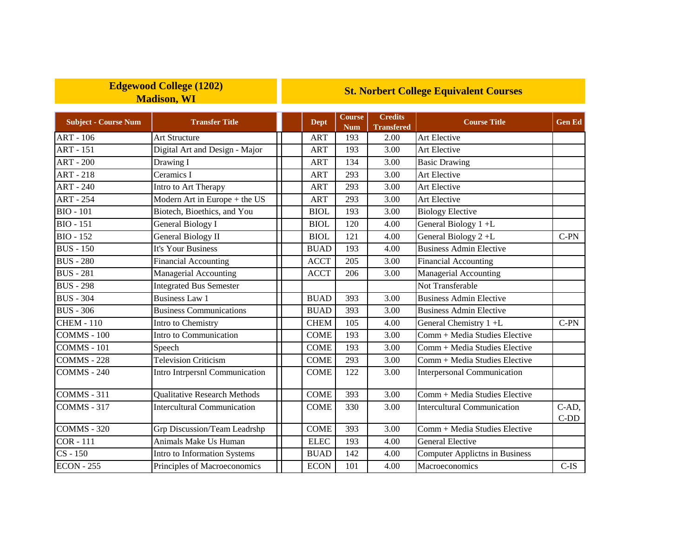## **Edgewood College (1202) Madison, WI**

## **St. Norbert College Equivalent Courses**

| <b>Subject - Course Num</b> | <b>Transfer Title</b>               | <b>Dept</b> | <b>Course</b><br><b>Num</b> | <b>Credits</b><br><b>Transfered</b> | <b>Course Title</b>                   | <b>Gen Ed</b>   |
|-----------------------------|-------------------------------------|-------------|-----------------------------|-------------------------------------|---------------------------------------|-----------------|
| <b>ART - 106</b>            | Art Structure                       | <b>ART</b>  | 193                         | 2.00                                | <b>Art Elective</b>                   |                 |
| <b>ART - 151</b>            | Digital Art and Design - Major      | <b>ART</b>  | 193                         | 3.00                                | Art Elective                          |                 |
| <b>ART - 200</b>            | Drawing I                           | <b>ART</b>  | 134                         | 3.00                                | <b>Basic Drawing</b>                  |                 |
| <b>ART - 218</b>            | Ceramics I                          | <b>ART</b>  | 293                         | 3.00                                | Art Elective                          |                 |
| $ART - 240$                 | Intro to Art Therapy                | <b>ART</b>  | 293                         | 3.00                                | <b>Art Elective</b>                   |                 |
| <b>ART - 254</b>            | Modern Art in Europe + the US       | <b>ART</b>  | 293                         | 3.00                                | <b>Art Elective</b>                   |                 |
| <b>BIO - 101</b>            | Biotech, Bioethics, and You         | <b>BIOL</b> | 193                         | 3.00                                | <b>Biology Elective</b>               |                 |
| <b>BIO</b> - 151            | <b>General Biology I</b>            | <b>BIOL</b> | 120                         | 4.00                                | General Biology 1+L                   |                 |
| $BIO - 152$                 | General Biology II                  | <b>BIOL</b> | 121                         | 4.00                                | General Biology 2+L                   | $C-PN$          |
| <b>BUS</b> - 150            | It's Your Business                  | <b>BUAD</b> | 193                         | 4.00                                | <b>Business Admin Elective</b>        |                 |
| <b>BUS</b> - 280            | <b>Financial Accounting</b>         | <b>ACCT</b> | 205                         | 3.00                                | Financial Accounting                  |                 |
| <b>BUS</b> - 281            | Managerial Accounting               | <b>ACCT</b> | 206                         | 3.00                                | Managerial Accounting                 |                 |
| <b>BUS - 298</b>            | <b>Integrated Bus Semester</b>      |             |                             |                                     | Not Transferable                      |                 |
| <b>BUS - 304</b>            | <b>Business Law 1</b>               | <b>BUAD</b> | 393                         | 3.00                                | <b>Business Admin Elective</b>        |                 |
| <b>BUS - 306</b>            | <b>Business Communications</b>      | <b>BUAD</b> | 393                         | 3.00                                | <b>Business Admin Elective</b>        |                 |
| <b>CHEM - 110</b>           | Intro to Chemistry                  | <b>CHEM</b> | 105                         | 4.00                                | General Chemistry 1 +L                | $C-PN$          |
| <b>COMMS</b> - 100          | Intro to Communication              | <b>COME</b> | 193                         | 3.00                                | Comm + Media Studies Elective         |                 |
| COMMS - 101                 | Speech                              | <b>COME</b> | 193                         | 3.00                                | Comm + Media Studies Elective         |                 |
| <b>COMMS - 228</b>          | <b>Television Criticism</b>         | <b>COME</b> | 293                         | 3.00                                | Comm + Media Studies Elective         |                 |
| COMMS - 240                 | Intro Intrpersnl Communication      | <b>COME</b> | 122                         | 3.00                                | <b>Interpersonal Communication</b>    |                 |
| <b>COMMS</b> - 311          | <b>Qualitative Research Methods</b> | <b>COME</b> | 393                         | 3.00                                | Comm + Media Studies Elective         |                 |
| COMMS - 317                 | <b>Intercultural Communication</b>  | <b>COME</b> | 330                         | 3.00                                | <b>Intercultural Communication</b>    | C-AD,<br>$C-DD$ |
| <b>COMMS</b> - 320          | Grp Discussion/Team Leadrshp        | <b>COME</b> | 393                         | 3.00                                | Comm + Media Studies Elective         |                 |
| <b>COR-111</b>              | Animals Make Us Human               | <b>ELEC</b> | 193                         | 4.00                                | <b>General Elective</b>               |                 |
| $CS - 150$                  | Intro to Information Systems        | <b>BUAD</b> | 142                         | 4.00                                | <b>Computer Applictns in Business</b> |                 |
| <b>ECON - 255</b>           | Principles of Macroeconomics        | <b>ECON</b> | 101                         | 4.00                                | Macroeconomics                        | $C$ -IS         |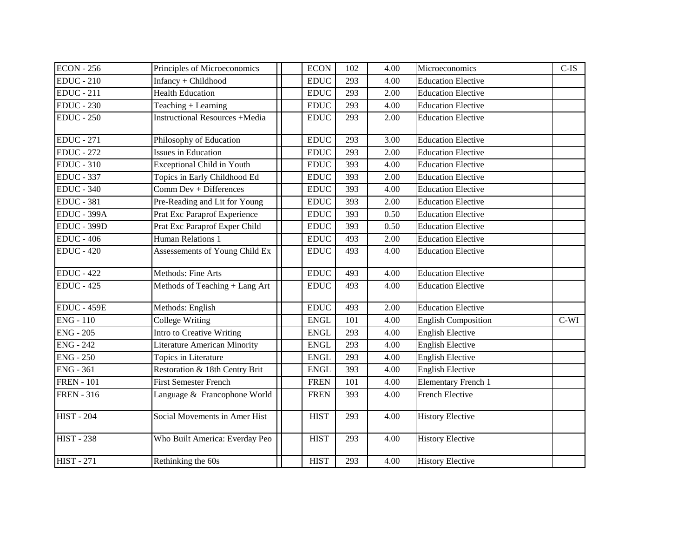| <b>ECON</b> - 256  | Principles of Microeconomics          | <b>ECON</b> | 102 | 4.00 | Microeconomics             | $C$ -IS |
|--------------------|---------------------------------------|-------------|-----|------|----------------------------|---------|
| <b>EDUC</b> - 210  | Infancy + Childhood                   | <b>EDUC</b> | 293 | 4.00 | <b>Education Elective</b>  |         |
| $EDUC - 211$       | <b>Health Education</b>               | <b>EDUC</b> | 293 | 2.00 | <b>Education Elective</b>  |         |
| $EDUC - 230$       | Teaching + Learning                   | <b>EDUC</b> | 293 | 4.00 | <b>Education Elective</b>  |         |
| <b>EDUC</b> - 250  | <b>Instructional Resources +Media</b> | <b>EDUC</b> | 293 | 2.00 | <b>Education Elective</b>  |         |
| <b>EDUC</b> - 271  | Philosophy of Education               | <b>EDUC</b> | 293 | 3.00 | <b>Education Elective</b>  |         |
| <b>EDUC</b> - 272  | <b>Issues in Education</b>            | <b>EDUC</b> | 293 | 2.00 | <b>Education Elective</b>  |         |
| <b>EDUC</b> - 310  | <b>Exceptional Child in Youth</b>     | <b>EDUC</b> | 393 | 4.00 | <b>Education Elective</b>  |         |
| <b>EDUC</b> - 337  | Topics in Early Childhood Ed          | <b>EDUC</b> | 393 | 2.00 | <b>Education Elective</b>  |         |
| <b>EDUC - 340</b>  | Comm Dev + Differences                | <b>EDUC</b> | 393 | 4.00 | <b>Education Elective</b>  |         |
| <b>EDUC</b> - 381  | Pre-Reading and Lit for Young         | <b>EDUC</b> | 393 | 2.00 | <b>Education Elective</b>  |         |
| <b>EDUC - 399A</b> | Prat Exc Paraprof Experience          | <b>EDUC</b> | 393 | 0.50 | <b>Education Elective</b>  |         |
| <b>EDUC - 399D</b> | Prat Exc Paraprof Exper Child         | <b>EDUC</b> | 393 | 0.50 | <b>Education Elective</b>  |         |
| <b>EDUC - 406</b>  | Human Relations 1                     | <b>EDUC</b> | 493 | 2.00 | <b>Education Elective</b>  |         |
| <b>EDUC - 420</b>  | Assessements of Young Child Ex        | <b>EDUC</b> | 493 | 4.00 | <b>Education Elective</b>  |         |
| <b>EDUC</b> - 422  | Methods: Fine Arts                    | EDUC        | 493 | 4.00 | <b>Education Elective</b>  |         |
| <b>EDUC - 425</b>  | Methods of Teaching + Lang Art        | <b>EDUC</b> | 493 | 4.00 | <b>Education Elective</b>  |         |
| <b>EDUC - 459E</b> | Methods: English                      | <b>EDUC</b> | 493 | 2.00 | <b>Education Elective</b>  |         |
| $ENG - 110$        | <b>College Writing</b>                | <b>ENGL</b> | 101 | 4.00 | <b>English Composition</b> | $C-WI$  |
| <b>ENG - 205</b>   | Intro to Creative Writing             | <b>ENGL</b> | 293 | 4.00 | <b>English Elective</b>    |         |
| <b>ENG</b> - 242   | <b>Literature American Minority</b>   | <b>ENGL</b> | 293 | 4.00 | <b>English Elective</b>    |         |
| <b>ENG - 250</b>   | Topics in Literature                  | <b>ENGL</b> | 293 | 4.00 | <b>English Elective</b>    |         |
| <b>ENG - 361</b>   | Restoration & 18th Centry Brit        | <b>ENGL</b> | 393 | 4.00 | <b>English Elective</b>    |         |
| <b>FREN</b> - 101  | <b>First Semester French</b>          | <b>FREN</b> | 101 | 4.00 | <b>Elementary French 1</b> |         |
| <b>FREN - 316</b>  | Language & Francophone World          | <b>FREN</b> | 393 | 4.00 | French Elective            |         |
| <b>HIST - 204</b>  | Social Movements in Amer Hist         | <b>HIST</b> | 293 | 4.00 | <b>History Elective</b>    |         |
| <b>HIST - 238</b>  | Who Built America: Everday Peo        | <b>HIST</b> | 293 | 4.00 | <b>History Elective</b>    |         |
| <b>HIST - 271</b>  | Rethinking the 60s                    | <b>HIST</b> | 293 | 4.00 | <b>History Elective</b>    |         |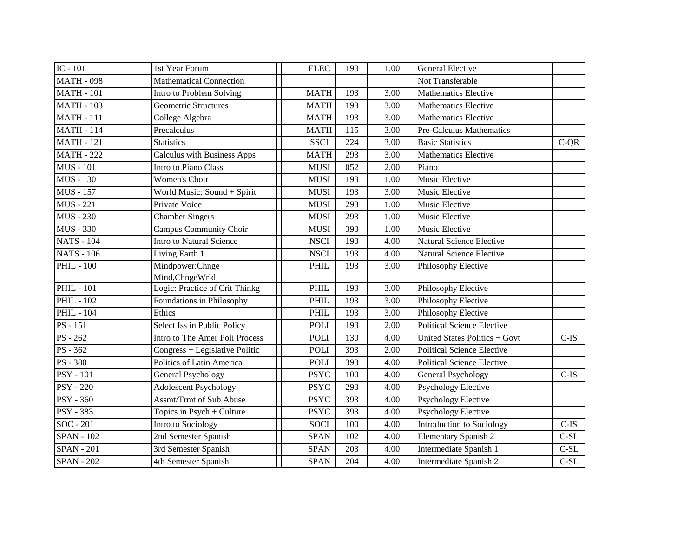| IC - 101          | 1st Year Forum                     | <b>ELEC</b> | 193 | 1.00 | <b>General Elective</b>           |         |
|-------------------|------------------------------------|-------------|-----|------|-----------------------------------|---------|
| <b>MATH - 098</b> | <b>Mathematical Connection</b>     |             |     |      | Not Transferable                  |         |
| <b>MATH - 101</b> | Intro to Problem Solving           | <b>MATH</b> | 193 | 3.00 | <b>Mathematics Elective</b>       |         |
| <b>MATH - 103</b> | <b>Geometric Structures</b>        | <b>MATH</b> | 193 | 3.00 | <b>Mathematics Elective</b>       |         |
| <b>MATH - 111</b> | College Algebra                    | <b>MATH</b> | 193 | 3.00 | <b>Mathematics Elective</b>       |         |
| <b>MATH - 114</b> | Precalculus                        | <b>MATH</b> | 115 | 3.00 | Pre-Calculus Mathematics          |         |
| <b>MATH - 121</b> | <b>Statistics</b>                  | <b>SSCI</b> | 224 | 3.00 | <b>Basic Statistics</b>           | $C-QR$  |
| <b>MATH - 222</b> | <b>Calculus with Business Apps</b> | <b>MATH</b> | 293 | 3.00 | <b>Mathematics Elective</b>       |         |
| <b>MUS</b> - 101  | Intro to Piano Class               | <b>MUSI</b> | 052 | 2.00 | Piano                             |         |
| <b>MUS</b> - 130  | Women's Choir                      | <b>MUSI</b> | 193 | 1.00 | Music Elective                    |         |
| <b>MUS</b> - 157  | World Music: Sound + Spirit        | <b>MUSI</b> | 193 | 3.00 | Music Elective                    |         |
| <b>MUS</b> - 221  | Private Voice                      | <b>MUSI</b> | 293 | 1.00 | Music Elective                    |         |
| <b>MUS</b> - 230  | <b>Chamber Singers</b>             | <b>MUSI</b> | 293 | 1.00 | Music Elective                    |         |
| <b>MUS - 330</b>  | <b>Campus Community Choir</b>      | <b>MUSI</b> | 393 | 1.00 | Music Elective                    |         |
| <b>NATS - 104</b> | <b>Intro to Natural Science</b>    | <b>NSCI</b> | 193 | 4.00 | <b>Natural Science Elective</b>   |         |
| <b>NATS - 106</b> | Living Earth 1                     | <b>NSCI</b> | 193 | 4.00 | <b>Natural Science Elective</b>   |         |
| <b>PHIL - 100</b> | Mindpower:Chnge                    | <b>PHIL</b> | 193 | 3.00 | Philosophy Elective               |         |
|                   | Mind, Chnge Wrld                   |             |     |      |                                   |         |
| <b>PHIL - 101</b> | Logic: Practice of Crit Thinkg     | PHIL        | 193 | 3.00 | Philosophy Elective               |         |
| <b>PHIL - 102</b> | Foundations in Philosophy          | PHIL        | 193 | 3.00 | Philosophy Elective               |         |
| <b>PHIL - 104</b> | Ethics                             | PHIL        | 193 | 3.00 | Philosophy Elective               |         |
| PS - 151          | Select Iss in Public Policy        | <b>POLI</b> | 193 | 2.00 | <b>Political Science Elective</b> |         |
| PS-262            | Intro to The Amer Poli Process     | <b>POLI</b> | 130 | 4.00 | United States Politics + Govt     | $C-IS$  |
| PS - 362          | Congress + Legislative Politic     | <b>POLI</b> | 393 | 2.00 | <b>Political Science Elective</b> |         |
| <b>PS</b> - 380   | Politics of Latin America          | <b>POLI</b> | 393 | 4.00 | Political Science Elective        |         |
| <b>PSY - 101</b>  | <b>General Psychology</b>          | <b>PSYC</b> | 100 | 4.00 | General Psychology                | $C-IS$  |
| <b>PSY - 220</b>  | <b>Adolescent Psychology</b>       | <b>PSYC</b> | 293 | 4.00 | <b>Psychology Elective</b>        |         |
| <b>PSY - 360</b>  | <b>Assmt/Trmt of Sub Abuse</b>     | <b>PSYC</b> | 393 | 4.00 | <b>Psychology Elective</b>        |         |
| <b>PSY - 383</b>  | Topics in Psych + Culture          | <b>PSYC</b> | 393 | 4.00 | <b>Psychology Elective</b>        |         |
| $SOC - 201$       | Intro to Sociology                 | <b>SOCI</b> | 100 | 4.00 | Introduction to Sociology         | $C$ -IS |
| <b>SPAN - 102</b> | 2nd Semester Spanish               | <b>SPAN</b> | 102 | 4.00 | <b>Elementary Spanish 2</b>       | $C-SL$  |
| <b>SPAN - 201</b> | 3rd Semester Spanish               | <b>SPAN</b> | 203 | 4.00 | Intermediate Spanish 1            | $C-SL$  |
| <b>SPAN - 202</b> | 4th Semester Spanish               | <b>SPAN</b> | 204 | 4.00 | Intermediate Spanish 2            | $C-SL$  |